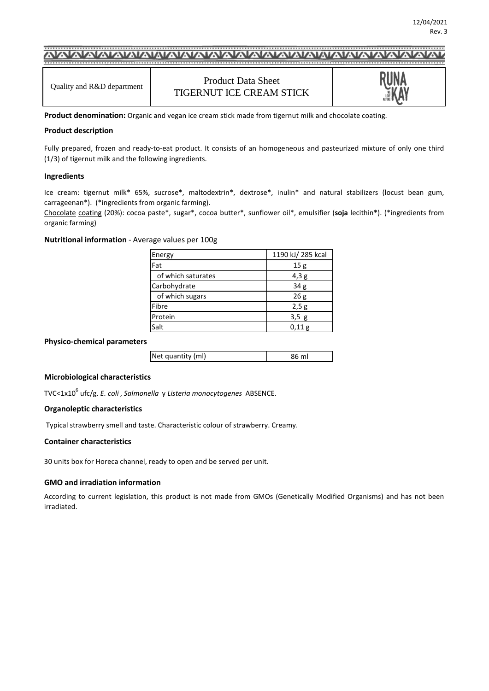# 

Product Data Sheet TIGERNUT ICE CREAM STICK



**Product denomination:** Organic and vegan ice cream stick made from tigernut milk and chocolate coating.

### **Product description**

Fully prepared, frozen and ready-to-eat product. It consists of an homogeneous and pasteurized mixture of only one third (1/3) of tigernut milk and the following ingredients.

### **Ingredients**

Ice cream: tigernut milk\* 65%, sucrose\*, maltodextrin\*, dextrose\*, inulin\* and natural stabilizers (locust bean gum, carrageenan\*). (\*ingredients from organic farming).

Chocolate coating (20%): cocoa paste\*, sugar\*, cocoa butter\*, sunflower oil\*, emulsifier (**soja** lecithin**\***). (\*ingredients from organic farming)

**Nutritional information** - Average values per 100g

| Energy             | 1190 kJ/ 285 kcal |
|--------------------|-------------------|
| Fat                | 15g               |
| of which saturates | 4,3g              |
| Carbohydrate       | 34 <sub>g</sub>   |
| of which sugars    | 26g               |
| Fibre              | 2,5g              |
| Protein            | 3,5g              |
| Salt               | 0,11 g            |

#### **Physico-chemical parameters**

| Net quantity (ml) | 86 ml |
|-------------------|-------|
|                   |       |

## **Microbiological characteristics**

TVC<1x10<sup>6</sup> ufc/g. *E. coli* , *Salmonella* y *Listeria monocytogenes* ABSENCE.

#### **Organoleptic characteristics**

Typical strawberry smell and taste. Characteristic colour of strawberry. Creamy.

#### **Container characteristics**

30 units box for Horeca channel, ready to open and be served per unit.

## **GMO and irradiation information**

According to current legislation, this product is not made from GMOs (Genetically Modified Organisms) and has not been irradiated.